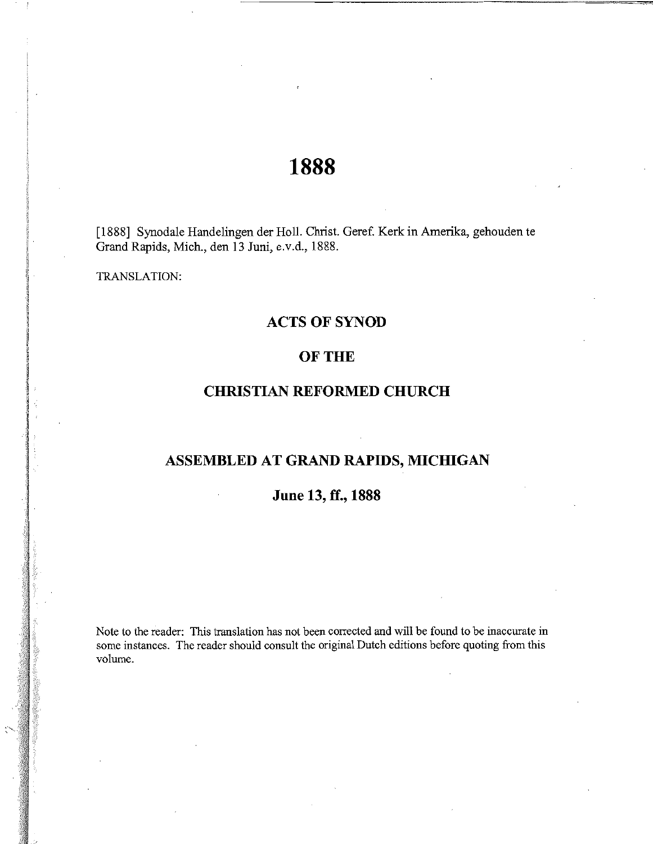# **1888**

[1888] Synodale Handelingen der Holl. Christ. Geref. Kerk in Amerika, gehouden te Grand Rapids, Mich., den 13 Juni, e.v.d., 1888.

TRANSLATION:

# **ACTS OF SYNOD**

# OF THE

# **CHRISTIAN REFORMED CHURCH**

# **ASSEMBLED AT GRAND RAPIDS, MICHIGAN**

# **June 13, ff., 1888**

Note to the reader: This translation has not been corrected and will be found to be inaccurate in some instances. The reader should consult the original Dutch editions before quoting from this volume.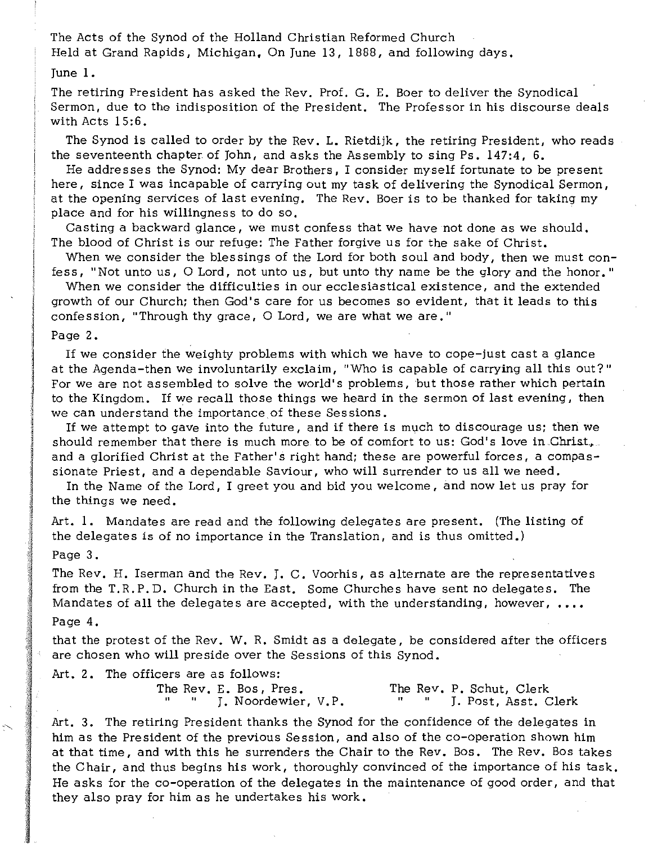The Acts of the Synod of the Holland Christian Reformed Church Held at Grand Rapids, Michigan, On June 13, 1888, and following days.

June 1.

The retiring President has asked the Rev. Prof. G. E. Boer to deliver the Synodical Sermon, due to the indisposition of the President. The Professor in his discourse deals with Acts 15:6.

The Synod is called to order by the Rev. L. Rietdijk, the retiring President, who reads the seventeenth chapter of John, and asks the Assembly to sing Ps. 147:4, 6.

He addresses the Synod: My dear Brothers, I consider myself fortunate to be present here, since I was incapable of carrying out my task of delivering the Synodical Sermon, at the opening services of last evening. The Rev. Boer is to be thanked for taking my place and for his willingness to do so.

Casting a backward glance, we must confess that we have not done as we should. The blood of Christ is our refuge: The Father forgive us for the sake of Christ.

When we consider the blessings of the Lord for both soul and body, then we must confess, "Not unto us, 0 Lord, not unto us, but unto thy name be the glory and the honor. "

When we consider the difficulties in our ecclesiastical existence, and the extended growth of our Church; then God's care for us becomes so evident, that it leads to this confession, "Through thy grace, O Lord, we are what we are."

Page 2.

If we consider the weighty problems with which we have to cope-just cast a glance at the Agenda-then we involuntarily exclaim, "Who is capable of carrying all this out?" For we are not as sembled to solve the world's problems, but those rather which pertain to the Kingdom. If we recall those things we heard in the sermon of last evening, then we can understand the importance of these Sessions.

If we attempt to gave into the future, and if there is much to discourage us; then we should remember that there is much more to be of comfort to us: God's love in Christ, and a glorified Christ at the Father's right hand; these are powerful forces, a compassionate Priest, and a dependable Saviour, who will surrender to us all we need.

In the Name of the Lord, I greet you and bid you welcome, and now let us pray for the things we need.

Art. 1. Mandates are read and the following delegates are present. (The listing of the delegates is of no importance in the Translation, and is thus omitted.)

Page 3.

The Rev. H. Iserman and the Rev. J. C. Voorhis, as alternate are the representatives from the T.R.P.D. Church in the East. Some Churches have sent no delegates. The Mandates of all the delegates are accepted, with the understanding, however,  $\dots$ 

#### Page 4.

that the protest of the Rev. W. R. Smidt as a delegate, be considered after the officers are chosen who will preside over the Sessions of this Synod.

Art. 2. The officers are as follows:

The Rev. E. Bos, Pres. The Rev. P. Schut, Clerk I. Noordewier, V.P. " J. Post, Asst. Clerk

Art. 3. The retiring President thanks the Synod for the confidence of the delegates in him as the President of the previous Session, and also of the co-operation shown him at that time, and with this he surrenders the Chair to the Rev. Bos. The Rev. Bos takes the Chair, and thus begins his work, thoroughly convinced of the importance of his task. He asks for the co-operation of the delegates in the maintenance of good order, and that they also pray for him as he undertakes his work.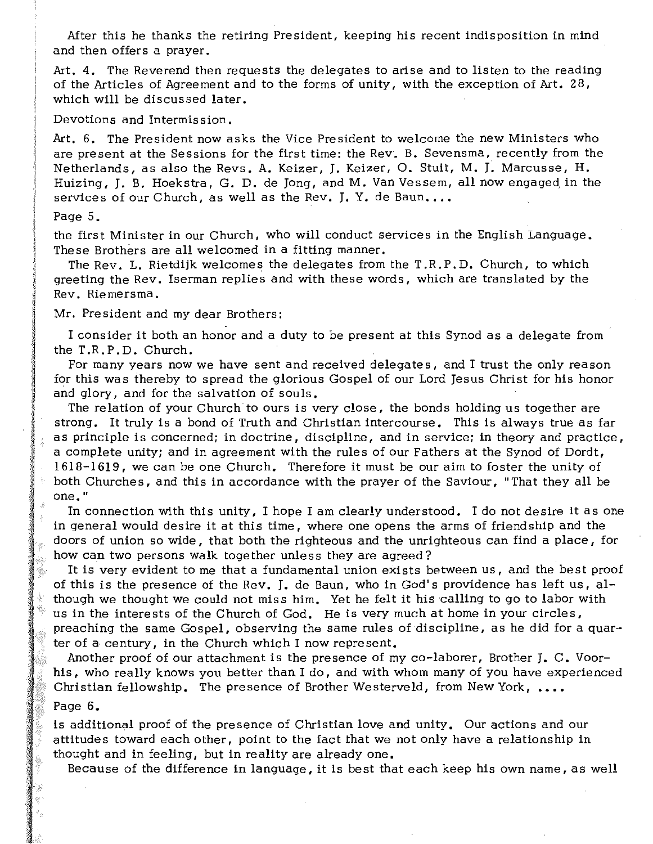Mter this he thanks the retiring President, keeping his recent indisposition in mind and then offers a prayer.

Art. 4. The Reverend then requests the delegates to arise and to listen to the reading of the Articles of Agreement and to the forms of unity, with the exception of Art. 28, which will be discussed later.

Devotions and Intermis sion.

Art. 6. The President now asks the Vice President to welcome the new Ministers who are present at the Sessions for the first time: the Rev. B. Sevensma, recently from the Netherlands, as also the Revs. A. Keizer, J. Keizer, O. Stuit, M. J. Marcusse, H. Huizing, J. B. Hoekstra, G. D. de Jong, and M. Van Vessem, all now engaged in the services of our Church, as well as the Rev. J. Y. de Baun....

### Page 5.

they.

the first Minister in Our Church, who will conduct services in the English Language. The se Brothers are all welcomed in a fitting manner.

The Rev. L. Rietdijk welcomes the delegates from the  $T.R.P.D.$  Church, to which greeting the Rev. Iserman replies and with these words, which are translated by the Rev. Riemersma.

Mr. President and my dear Brothers:

I consider it both an honor and a duty to be present at this Synod as a delegate from the T.R.P.D. Church.

For many years now we have sent and received delegates, and I trust the only reason for this was thereby to spread the glorious Gospel of our Lord Jesus Christ for his honor and glory, and for the salvation of souls.

The relation of your Church to ours is very close, the bonds holding us together are strong. It truly is a bond of Truth and Christian intercourse. This is always true as far as principle is concerned; in doctrine, discipline, and in service; in theory and practice, a complete unity; and in agreement with the rules of our Fathers at the Synod of Dordt, 1618-1619, we can be one Church. Therefore it must be our aim to foster the unity of both Churches, and this in accordance with the prayer of the Saviour, "That they all be one."

In connection with this unity, I hope I am clearly understood. I do not desire it as one in general would desire it at this time, where one opens the arms of friendship and the doors of union so wide, that both the righteous and the unrighteous can find a place, for how can two persons walk together unless they are agreed?

It is very evident to me that a fundamental union exists between us, and the best proof of this is the presence of the Rev. J. de Baun, who in God's providence has left us, although we thought we could not miss him. Yet he felt it his calling to go to labor with us in the interests of the Church of God. He is very much at home in your circles, preaching the same Gospel, observing the same rules of discipline , as he did for a quarter of a century, in the Church which I now represent.

Another proof of our attachment is the presence of my co-laborer, Brother J. C. Voorhis, who really knows you better than I do, and with whom many of you have experienced Christian fellowship. The presence of Brother Westerveld, from New York, •••• Page 6.

is additional proof of the presence of Christian love and unity. Our actions and our attitudes toward each other, point to the fact that we not only have a relationship in thought and in feeling, but in reality are already one.

Because of the difference in language, it is best that each keep his own name, as well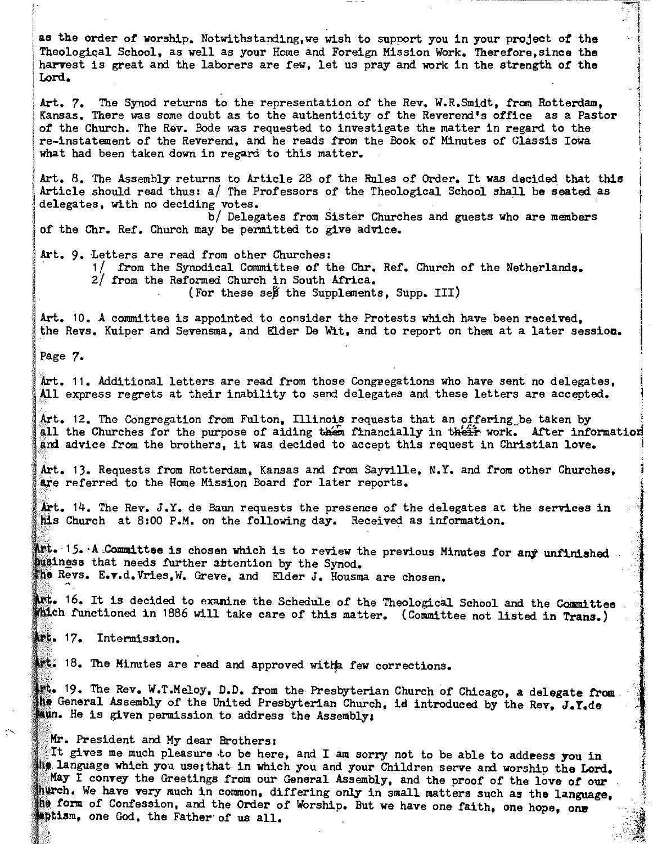as the order of worship. Notwithstanding,we wish to support you in your project of the Theological School, as well as your Home and Foreign Mission Work. Therefore,since the harvest is great and the laborers are few, let us pray and work in the strength of the Lord.

Art. 7. The Synod returns to the representation of the Rev. W.R.Sm1dt, from Rotterdam, Kansas. There was some doubt as to the authenticity of the Reverend's office as a Pastor of the Church. The Rev. Bode was requested to investigate the matter in regard to the re-instatement of the Reverend, and he reads from the Book of Minutes of Classis Iowa what had been taken down in regard to this matter.

.<br>I <del>.</del><br>I .

i<br>I

 $\mathbf{I}$ 

 $\overline{\phantom{a}}$ 

, 1

"~;>~~-:i;

Art. 8. The Assembly returns to Article 28 of the Rules of Order. It was decided that this Article should read thus: *al* The Professors of the Theological School shall be seated as delegates, with no deciding votes. *bl* Delegates from Sister Churches and guests who are members

of the Chr. Ref. Church may be permitted to give advice.

- Art. 9. Letters are read from other Churches:<br>1/ from the Synodical Committee of the Chr. Ref. Church of the<br>2/ from the Reformed Church in South Africa.<br>(For these se& the Supplements, Supp. III) Netherlands.
	-

Art. 10. A committee is appointed to consider the Protests which have been received, the Revs. Kuiper and Sevensma, and Elder De Wit, and to report on them at a later session.

Page 7.

Art. 11. Additional letters are read from those Congregations who have sent no delegates, All express regrets at their inability to send delegates and these letters are accepted.

.<br>Art. 12. The Congregation from Fulton, Illinois requests that an offering be taken by<br>Ill the Churches for the purpose of aiding then financially in their work. After information Ill the Churches for the purpose of aiding then financially in their work. After information<br>Ind advice from the brothers, it was decided to accept this request in Christian love.

Art. 13. Requests from Rotterdam, Kansas and from Sayville, N.Y. and from other Churches, lre referred to the Home Mission Board for later reports.

Art.  $14$ . The Rev.  $J.Y.$  de Baun requests the presence of the delegates at the services in  $M.S.$  Church at 8:00 P.M. on the following day. Received as information.

Art. 15. A Committee is chosen which is to review the previous Minutes for any unfinished husiness that needs further attention by the Synod. The Revs. E.v.d.Vries, W. Greve, and Elder J. Housma are chosen.

 $\blacksquare$ . 16. It is decided to exanine the Schedule of the Theological School and the Committee fulch functioned in 1886 will take care of this matter. (Committee not listed in Trans.)

Art. 17. Intermission.

"

 $18.$  The Minutes are read and approved with few corrections.

19. The Rev. W.T.Meloy, D.D. from the Presbyterian Church of Chicago, a delegate from he General Assembly of the United Presbyterian Church, id introduced by the Rev, J.Y.de **He is given permission to address the Assembly;** 

## Mr. President and My dear Brothers:

It gives me much pleasure to be here, and I am sorry not to be able to addeess you in ing language which you use; that in which you and your Children serve and worship the Lord. May I convey the Greetings from our General Assembly, and the proof of the love of our hurch. We have very much in common, differing only in small matters such as the language. form of Confession, and the Order of Worship. But we have one faith, one hope, one with the Confession, and the Order of Worship. But we have one faith, one hope, one one God, the Father of us all.  $\frac{1}{2}$  ,  $\frac{1}{2}$  ,  $\frac{1}{2}$  ,  $\frac{1}{2}$  ,  $\frac{1}{2}$  ,  $\frac{1}{2}$  ,  $\frac{1}{2}$  ,  $\frac{1}{2}$  ,  $\frac{1}{2}$  ,  $\frac{1}{2}$  ,  $\frac{1}{2}$  ,  $\frac{1}{2}$  ,  $\frac{1}{2}$  ,  $\frac{1}{2}$  ,  $\frac{1}{2}$  ,  $\frac{1}{2}$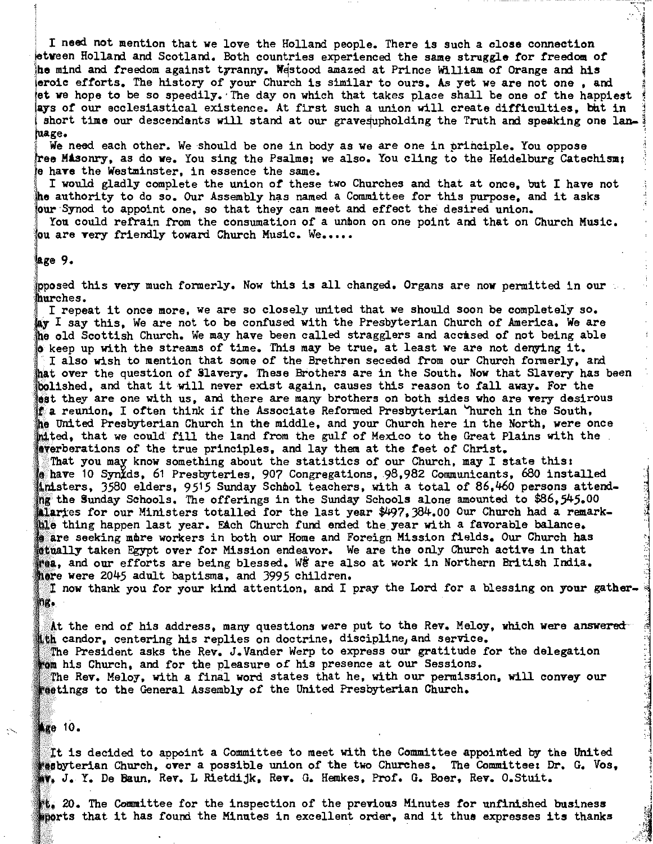I need not mention that we love the Holland people. There is such a close connection! etween Holland and Scotland. Both countries experienced the same struggle for freedom of he mind and freedom against tyranny. Westood amazed at Prince William of Orange and his eroic efforts. The history of your Church is similar to ours. As yet we are not one , and et we hope to be so speedily. The day on which that takes place shall be one of the happiest ays of our ecclesiastical existence. At first such a union will create difficulties. but in short time our descendants will stand at our grave qupholding the Truth and speaking one lanhuage.<br>We need each other. We should be one in body as we are one in principle. You oppose

 $\cdot$  1 ianakan ...<br>1

ree Masonry, as do we. You sing the Psalme; we also. You cling to the Heidelburg Catechism; have the Westminster, in essence the same.

I would gladly complete the union of these two Churches and that at once, but I have not authority to do so. Our Assembly has named a Committee for this purpose, and it asks Synod to appoint one, so that they can meet and effect the desired union.

You could refrain from the consumation of a unmon on one point and that on Church Music. ou are very friendly toward Church Music. We.....

#### lage 9.

prosed this very much formerly. Now this is all changed. Organs are now permitted in our

hurches.<br>I repeat it once more, we are so closely united that we should soon be completely so. I say this, We are not to be confused with the Presbyterian Church of America. We are old Scottish Church. *We* may have been called stragglers and accased of not being able  $k$  keep up with the streams of time. This may be true, at least we are not denying it. I also wish to mention that some of the Brethren seceded from our Church formerly, and hat over the question of Slavery. These Brothers are in the South. Now that Slavery has been bolished, and that it will never exist again, causes this reason to fall away. For the **est they are one with us, and there are many brothers on both sides who are very desirous**  $\mathbf f$  a reunion. I often think if the Associate Reformed Presbyterian  $\mathbf v$ hurch in the South. United Presbyterian Church in the middle, and your Church here in the North, were once inited, that we could fill the land from the gulf of Mexico to the Great Plains with the **Averberations of the true principles, and lay them at the feet of Christ.** 

That you may know something about the statistics of our Church, may I state this: have 10 Synids, 61 Presbyteries, 907 Congregations. 98,982 Communicants, 680 installed '1' inisters, 3580 elders, 9515 Sunday Schmol teachers, with a total of 86,460 persons attendthe Sunday Schools. The offerings in the Sunday Schools alone amounted to \$86,545.00 <sup>~</sup> for our Ministers totalled for the last year \$497,384.00 Our Church had a remark-<br>hing happen last year. Each Church fund ended the year with a favorable balance. ble thing happen last year. Each Church fund ended the year with a favorable balance.<br>'s are seeking mare workers in both our Home and Foreign Mission fields. Our Church has stually taken Egypt over for Mission endeavor. We are the only Church active in that ''' and our efforts are being blessed. We are also at work in Northern British India. here were 2045 adult baptisms, and 3995 children.<br>- I now thank you for your kind attention, and I pray the Lord for a blessing on your gather.

ng.

At the end of his address, many questions were put to the Rev. Meloy, which were answeredith candor, centering his replies on doctrine, discipline, and service. The President asks the Rev. J.Vander Werp to express our gratitude for the delegation

his Church, and for the pleasure of his presence at our Sessions. The Rev. Meloy, with a final word states that he, with our permission, will convey our to the General Assembly of the United Presbyterian Church.

# Age 10.

It is decided to appoint a Committee to meet with the Committee appointed by the United  $\overline{\phantom{a}}$ 'esbyterian Church, over a possible union of the two Churches. The Committee: Dr. G. Vos. J. Y. De Baun, Rev. L Rietdijk, Rev. G. Hemkes, Prof. G. Boer, Rev. O.Stnit.

10. The Committee for the inspection of the previous Minutes for unfinished business ...<br>morts that it has found the Minutes in excellent order, and it thue expresses its thanks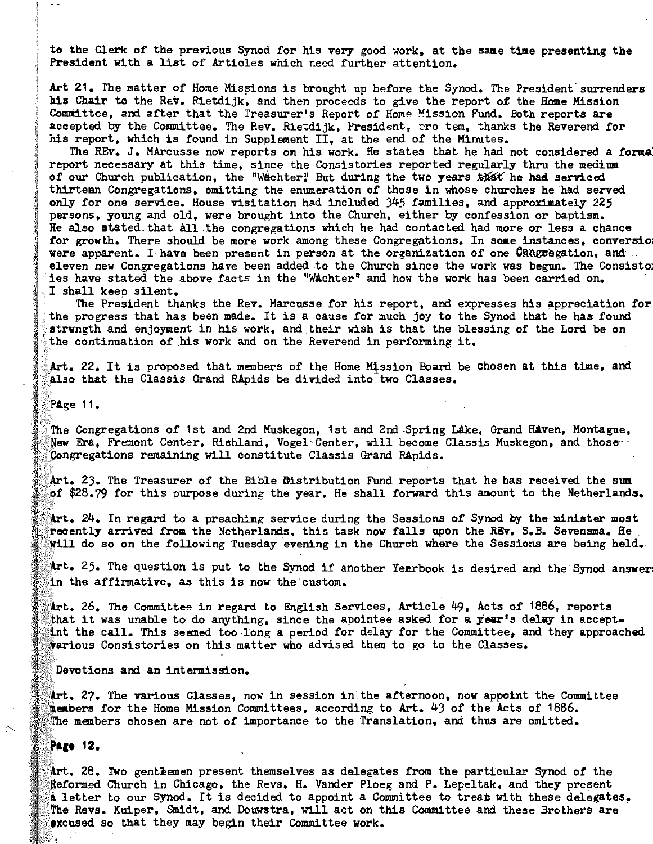to the Clerk of the previous Synod for his very good work, at the same time presenting the President with a list of Articles which need further attention.

Art 21. The matter of Home Missions is brought up before the Synod. The President surrenders his Chair to the Rev. Rietdijk, and then proceeds to give the report of the Home Mission Committee, and after that the Treasurer's Report of Home Mission Fund. Both reports are accepted by the Committee. The Rev. Rietdijk, President, pro tem, thanks the Reverend for his report, which is found in Supplement II, at the end of the Minutes.

The REv. J. MArcusse now reports on his work. He states that he had not considered a forma report necessary at this time, since the Consistories reported regularly thru the medium of our Church publication, the "Wechter! But during the two years that he had serviced thirteen Congregations, omitting the enumeration of those in whose churches he 'had served only for one service. House visitation had included 345 families, and approximately 225 persons, young and old, were brought into the Church, either by confession or baptism. He also stated, that all.the congregations which he had contacted had more or less a chance for growth. There should be more work among these Congregations. In some instances, conversio were apparent. I have been present in person at the organization of one CRU gradion, and eleven new Congregations have been added to the Church since the work was begun. The Consisto ies have stated the above facts in the "WAchter" and how the work has been carried on. I shall keeo silent.

The President thanks the Rev. Marcusse for his report, and expresses his appreciation for the progress that has been made. It is a cause for much joy to the Synod that he has found strungth and enjoyment in his work, and their wish is that the blessing of the Lord be on the continuation of his work and on the Reverend in performing it.

Art. 22. It is proposed that members of the Home Mission Board be chosen at this time, and also that the Classis Grand RApids be divided into two Classes.

PAge 11.

The Congregations of 1st and 2nd Muskegon, 1st and 2nd Spring Lake, Grand Haven, Montague, New Era, Fremont Center, Rishland, Vogel Center, will become Classis Muskegon, and those Congregations remaining will constitute Classis Grand Rapids.

Art. 23. The Treasurer of the Bible Distribution Fund reports that he has received the sum of \$28.79 for this purpose during the year. He shall forward this amount to the Netherlands.

24. In regard to a preachimg service during the Sessions of Synod by the minister most recently arrived from the Netherlands, this task now falls upon the REv. S.B. Sevensma. He will do so on the following Tuesday evening in the Church where the Sessions are being held.

Art. 25. The question is put to the Synod if another Yerrbook is desired and the Synod answer the affirmative. as this is now the custom.

26. The Committee in regard to English Services, Article 49, Acts of 1866, reports that it was unable to do anything, since the apointee asked for a year's delay in acceptthe call. This seemed too long a period for delay for the Committee, and they approached various Consistories on this matter who advised them to go to the Classes.

Devotions and an intermission.

Art. 27. The various Classes, now in session in the afternoon, now appoint the Committee members for the Home Mission Committees, according to Art. 43 of the Acts of 1886. members chosen are not of importance to the Translation, and thus are omitted.

Page 12.

Art. 28. Two gentlemen present themselves as delegates from the particular Synod of the Reformed Church in Chicago, the Revs. H. Vander Ploeg and P. Lepeltak, and they present a letter to our Synod. It is decided to appoint a Committee to trear with these delegates. The Revs. Kuiper, Smidt, and Douwstra, will act on this Committee and these Brothers are sxcused so that they may begin their Committee work.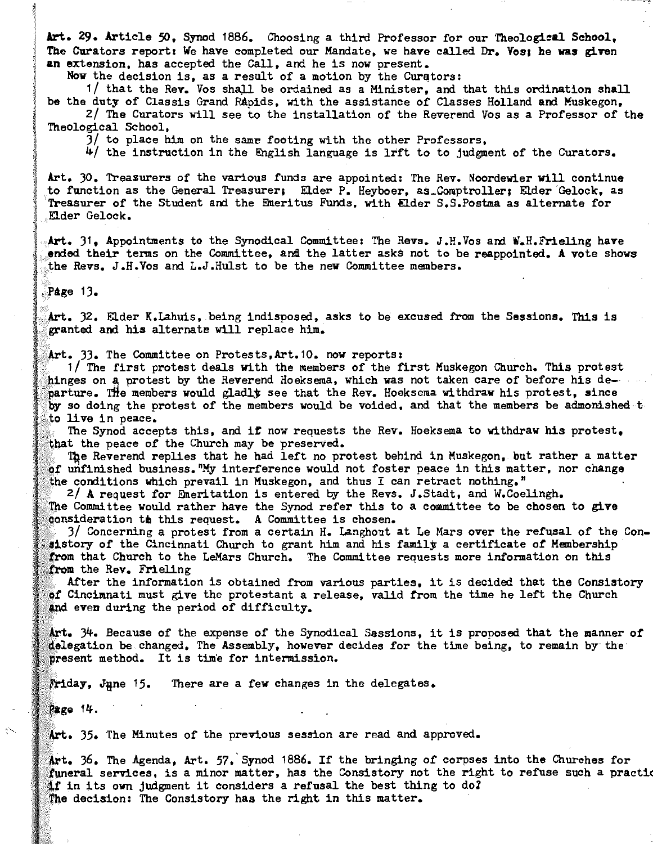Art. 29. Article SO, Synod 1886. Choosing a third Professor for our Theological School, The Curators report: We have completed our Mandate, we have called Dr. Vos; he was given an extension, has accepted the Ca1l, and he is now present.

Now the decision is, as a result of a motion by the Curators:

1/ that the Rev. Vos shall be ordained as a Minister, and that this ordination shall be the duty of Classis Grand Rapids, with the assistance of Classes Holland and Muskegon. 2/ The Curators wi1l see to the insta1lation of the Reverend *Vos* as a Professor of the

Theological School,

3/ to place him on the same footing with the other Professors,

4/ the instruction in the English language is lrft to to judgment *ot* the Curators.

Art. 30. Treasurers of the various funds are appointed: The Rev. Noordewier will continue to function as the General Treasurer; Elder P. Heyboer, as\_Comptroller; Elder Gelock, as Treasurer *ot* the Student and the Emeritus Funds, with Elder S.S.Postma as alternate for Elder Gelock.

Art. 31. Appointments to the Synodical Committee: The Revs. J.H. Vos and W.H.Frieling have ended their terms on the Committee, and the latter asks not to be reappointed. A vote shows the Revs. J.H.Vos and L.J.Hulst to be the new Committee members.

Page 13.

Art. 32. Elder K.Lahuis, being indisposed, asks to be excused from the Sessions. This is granted and his alternate will replace him.

Art. 33. The Committee on Protests, Art. 10. now reports:

1/ The first protest deals with the members of the first Muskegon Church. This protest hinges on a protest by the Reverend Hoeksema, which was not taken care of before his departure. The members would gladly see that the Rev. Hoeksema withdraw his protest, since by so doing the protest of the members would be voided, and that the members be admonished t to live in peace.

The Synod accepts this, and if now requests the Rev. Hoeksema to withdraw his protest. that the peace of the Church may be preserved.

The Reverend replies that he had left no protest behind in Muskegon, but rather a matter of unfinished business. "My interference would not foster peace in this matter, nor change the conditions which prevail in Muskegon, and thus I can retract nothing."

2/ A request for Emeritation is entered by the Revs. J.Stadt, and W.Coelingh. The Committee would rather have the Synod refer this to a committee to be chosen to give consideration th this request. A Committee is chosen.

3/ Concerning a protest from a certain H. Langhout at Le Mars over the refusal of the Con sistory of the Cincinnati Church to grant him and his family a certificate of Membership that Church to the LaMars Church. The Committee requests more information on this from the Rev. Frieling

After the information is obtained from various parties, it is decided that the Consistory of Cincinnati must give the protestant a release, valid from the time he left the Church and even during the period of difficulty.

34. Because of the expense of the Synodical Sessions, it is proposed that the manner *ot*  delegation be changed. The Assembly, however decides for the time being, to remain by the present method. It is time for intermission.

Friday, June 15. There are a few changes in the delegates.

Page 14.

Art. 35. The Minutes of the previous session are read and approved.

36. The Agenda, Art. 57,'Synod 1886. If the bringing of corpses into the Churches for funeral services, is a minor matter, has the Consistory not the right to refuse such a practic if in its own judgment it considers a refusal the best thing to do? The decision: The Consistory has the right in this matter.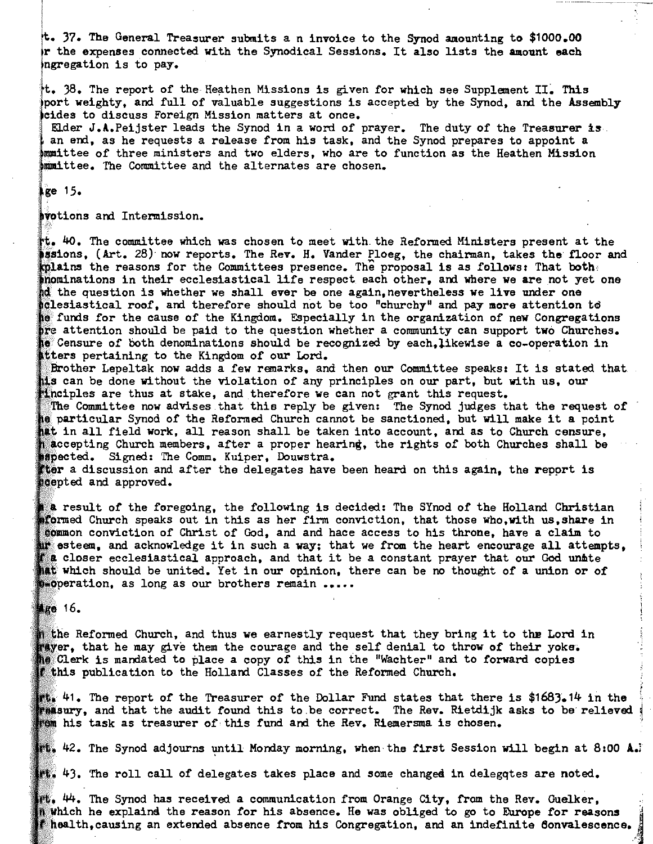37. The General Treasurer submits a n invoice to the Synod amounting to \$1000.00 the expenses connected with the Synodical Sessions. It also lists the amount each ingregation is to pay.

 $t$ . 38. The report of the Heathen Missions is given for which see Supplement II. This port weighty, and full of valuable suggestions is accepted by the Synod, and the Assembly eides to discuss Foreign Mission matters at once.

Elder  $J.A.Pefjster$  leads the Synod in a word of prayer. The duty of the Treasurer is. an end, as he requests a release from his task, and the Synod prepares to appoint a immittee of three ministers and two elders, who are to function as the Heathen Mission • The Committee and the alternates are chosen.

 $kg$ e 15.

avotions and Intermission.

40. The committee which was chosen to meet with~ the Reformed Ministers present at the issions, (Art. 28) now reports. The Rev. H. Vander Ploeg, the chairman, takes the floor and **kplains** the reasons for the Committees presence. The proposal is as follows: That both, inominations in their ecclesiastical life respect each other, and where we are not yet one the question is whether we shall ever be one again,nevertheless we live under one roficial cof, and therefore should not be too "churchy" and pay more attention to funds for the cause of the Kingdom. Especially in the organization of new Congregations are attention should be paid to the question whether a community can support two Churches. Censure of both denominations should be recognized by each,likewise a co\_operation in atters pertaining to the Kingdom of our Lord.

Brother Lepeltak now adds a few remarks, and then our Committee speaks: It is stated that its can be done without the violation of any principles on our part, but with us, our Minciples are thus at stake, and therefore we can not grant this request.

The Committee now advises that this reply be given: The Synod judges that the request of particular Synod of the Reformed Church cannot be sanctioned, but will make it a point int in all field work, all reason shall be taken into account, and as to Church censure, n accepting Church members, after a proper hearing, the rights of both Churches shall be **Mapected.** Signed: The Comm. Kuiper, Douwstra.

ther a discussion and after the delegates have been heard on this again, the report is septed and approved.

a result of the foregoing, the following is decided: The SYnod of the Holland Christian aformed Church speaks out in this as her firm conviction, that those who, with us, share in conviction of Christ of God, and and hace access to his throne, have a claim to esteem, and acknowledge it in such a way; that we from the heart encourage all attempts. **follo** closer ecclesiastical approach, and that it be a constant prayer that our God unite **All which should be united. Yet in our opinion, there can be no thought of a union or of**  $p$ eperation, as long as our brothers remain .....

 $Mg0 16$ 

Reformed Church, and thus we earnestly request that they bring it to the Lord in thay er, that he may give them the courage and the self denial to throw of their yoke. is mandated to place a copy of this in the "Wachter" and to forward copies **publication to the Holland Classes of the Reformed Church.** 

41. The report of the Treasurer of the Dollar Fund states that there is \$1683.14 in the , and that the audit found this to be correct. The Rev. Rietdijk asks to be relieved his task as treasurer of· this fund and the Rev. Riemersma is chosen.

 $\mathbb{H}_\bullet$  42. The Synod adjourns until Monday morning, when the first Session will begin at 8:00 A..

 $\mathbb{H}$  43. The roll call of delegates takes place and some changed in delegqtes are noted.

 $\mathbf{H}_\bullet$   $\mathbf{\mathsf{44}_\bullet}$  The Synod has received a communication from Orange City, from the Rev. Guelker,  $\mathbf{\mathsf{R}}$  which he explaind the reason for his absence. He was obliged to go to Europe for reasons thealth, causing an extended absence from his Congregation, and an indefinite Convalescence.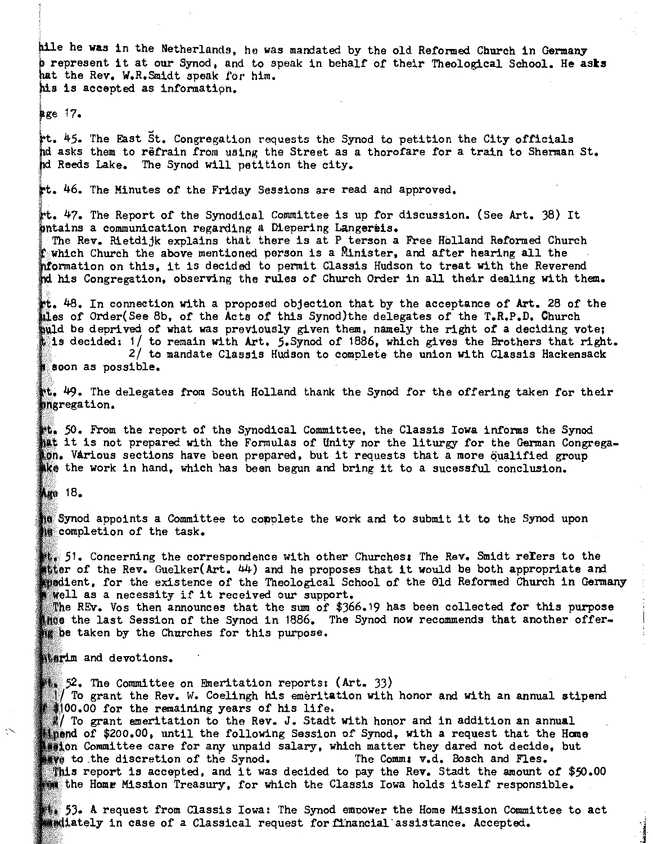hile he was in the Netherlands, he was mandated by the old Reformed Church in Germany b represent it at our Synod, and to speak in behalf of their Theological School. He asks hat the Rev. W.R.Smidt speak for him. his is accepted as information.

age 17.

The East St. Congregation requests the Synod to petition the City officials hd asks them to refrain from using the Street as a thorofare for a train to Sherman St. hd Reeds Lake. The Synod will petition the city.

tt. 46. The Minutes of the Friday Sessions are read and approved.

t. 47. The Report of the Synodical Committee is up for discussion. (See Art. 38) It ontains a communication regarding a Diepering Langereis.

The Rev. Rietdijk explains that there is at P terson a Free Holland Reformed Church which Church the above mentioned person is a Minister, and after hearing all the . only the mentioned person is a Minister, and after hearing all the . on this, it is decided to permit Classis Hudson to treat with the Reve his Congregation, observing the rules of Church Order in all their dealing with them.

 $\,$  48. In connection with a proposed objection that by the acceptance of Art. 28 of the ales of Order(See 8b, of the Acts of this Synod)the delegates of the T.R.P.D. Church and  $d$  be deprived of what was previously given them, namely the right of a deciding vote; is decided:  $1/$  to remain with Art. 5. Synod of 1886, which gives the Brothers that right. 2/ to mandate Classis Hudson to complete the union with Classis Hackensack

800n as possible.

 $\mathbb{M}_*$   $49$ . The delegates from South Holland thank the Synod for the offering taken for their pngregation.

50. From the report of the Synodical Committee, the Classis Iowa informs the Synod hat it is not prepared with the Formulas of Unity nor the liturgy for the German Congregaon. Various sections have been prepared, but it requests that a more oualified group the work in hand, which has been begun and bring it to a sucessful conclusion.

**Age 18.** 

 $\tilde{\phantom{a}}$ 

as Synod appoints a Committee to complete the work and to submit it to the Synod upon is completion of the task.

,1. Concerning the correspondence with other Churches, The Rev. Smidt refers to the atter of the Rev. Guelker(Art. 44) and he proposes that it would be both appropriate and<br>medient. for the existence of the Theological School of the 61d Reformed Church in Germany Well as a necessity if it received our support.

 $\mathbb R$ he REv. Vos then announces that the sum of \$366.19 has been collected for this purpose ince the last Session of the Synod in 1886. The Synod now recommends that another offerig be taken by the Churches for this purpose.

Miarim and devotions.

 $\mathbb{F}_2$ , The Committee on Emeritation reports: (Art. 33) To grant the Rev. W. Coelingh his emeritation with honor and with an annual stipend 00.00 for the remaining years of his life.

 $\mathbb Z$ / To grant emeritation to the Rev. J. Stadt with honor and in addition an annual **Eigend of \$200.00, until the following Session of Synod, with a request that the Home EXALOR** Committee care for any unpaid salary, which matter they dared not decide, but  $\bullet$  to the discretion of the Synod. The Comm:  $v.d.$  Bosch and Fles. This report is accepted, and it was decided to pay the Rev. Stadt the amount of  $$50.00$ the Home Mission Treasury, for which the Classis Iowa holds itself responsible.

A request from Classis Iowa: The Synod emoower the Home Mission Committee to act **astiately** in case of a Classical request for financial assistance. Accepted.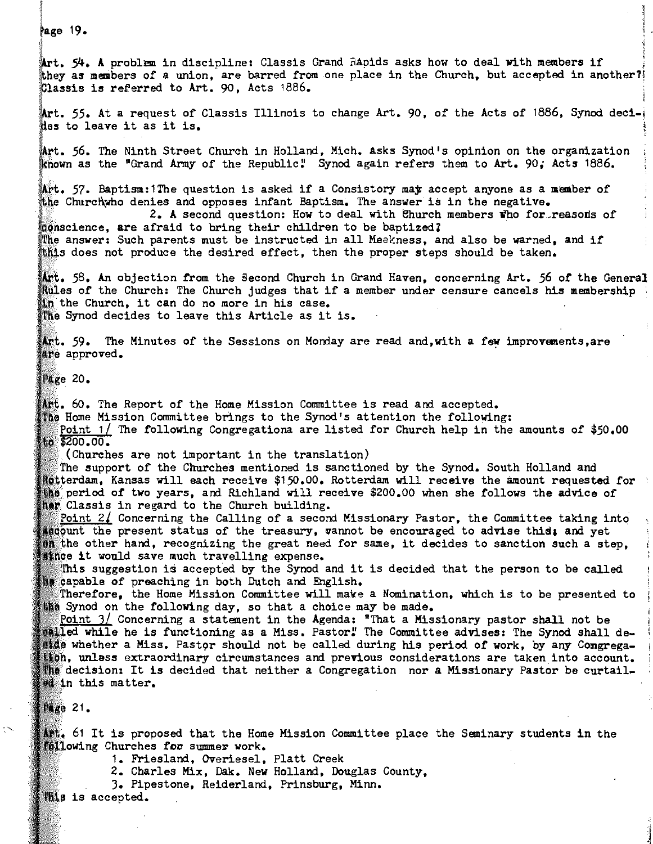Page 19. Art. 54. A problem in discipline: Classis Grand Rapids asks how to deal with members if they as members of a union. are barred from one place in the Church, but accepted in another?l Classis is referred to Art. 90, Acts 1886. Art. 55. At a request of Classis Illinois to change Art. 90, of the Acts of 1886, Synod decides to leave it as it is. 56. The Ninth Street Church in Holland. Mich. Asks Synod's opinion on the organization known as the "Grand Army of the Republic" Synod again refers them to Art. 90; Acts 1886. Art. 57. Baptism:1The question is asked if a Consistory may accept anyone as a member of the Churchwho denies and opposes infant Baptism. The answer is in the negative. 2. A second question: How to deal with Church members who for reasons of donscience. are afraid to bring their children to be baptized? The answer: Such parents must be instructed in all Meekness, and also be warned, and if this does not produce the desired effect, then the proper steps should be taken.  $\mathbf{M}$ t. 58. An objection from the Second Church in Grand Haven, concerning Art. 56 of the General Rules of the Church: The Church judges that if a member under censure cancels his membership in the Church, it can do no more in his case. The Synod decides to leave this Article as it is. Art. 59. The Minutes of the Sessions on Monday are read and, with a few improvements, are are approved.  $P_{\text{AGE}}$  20. Art. 60. The Report of the Home Mission Committee is read and accepted. The Home Mission Committee brings to the Synod's attention the following: Point  $1/$  The following Congregationa are listed for Church help in the amounts of  $$50,00$ to \$200.00. (Churches are not important in the translation) The support of the Churches mentioned is sanctioned by the Synod. South Holland and ~.e,ra\_am, Kansas will each receive *\$150.00.* Rotterdam will receive the amount requested for period of two years, and Richland will receive \$200.00 when she follows the advice of **Ref** Classis in regard to the Church building.  $\frac{\text{Point 21}}{\text{Concerning the Calling of a second Missouri Paster, the Committee taking into}$ acount the present status of the treasury, wannot be encouraged to advise this; and yet  $\mathbf{u}_0$  the other hand, recognizing the great need for same, it decides to sanction such a step, **it would save much travelling expense.** This suggestion is accepted by the Synod and it is decided that the person to be called 18 capable of preaching in both Dutch and English. Therefore, the Home Mission Committee will make a Nomination, which is to be presented to the Synod on the following day, so that a choice may be made. Point  $3/$  Concerning a statement in the Agenda: "That a Missionary pastor shall not be  $i$ illed while he is functioning as a Miss. Pastor! The Committee advises: The Synod shall dewhich whether a Miss. Pastor should not be called during his period of work, by any Congregaundess extraordinary circumstances and previous considerations are taken into account. The decision: It is decided that neither a Congregation nor a Missionary Pastor be curtail $m$  in this matter.  $P_{ABC}$  21.  $\mathbf{I}_{\mathbf{S}}$ , 61 It is proposed that the Home Mission Committee place the Seminary students in the **Fellowing Churches for summer work.** 

1. Friesland. Overiesel, Platt Creek

2. Charles Mix, Oak. New Holland, Douglas County,

3. Pipestone. Reiderland, Prinsburg, Minn.

**Mis is accepted.**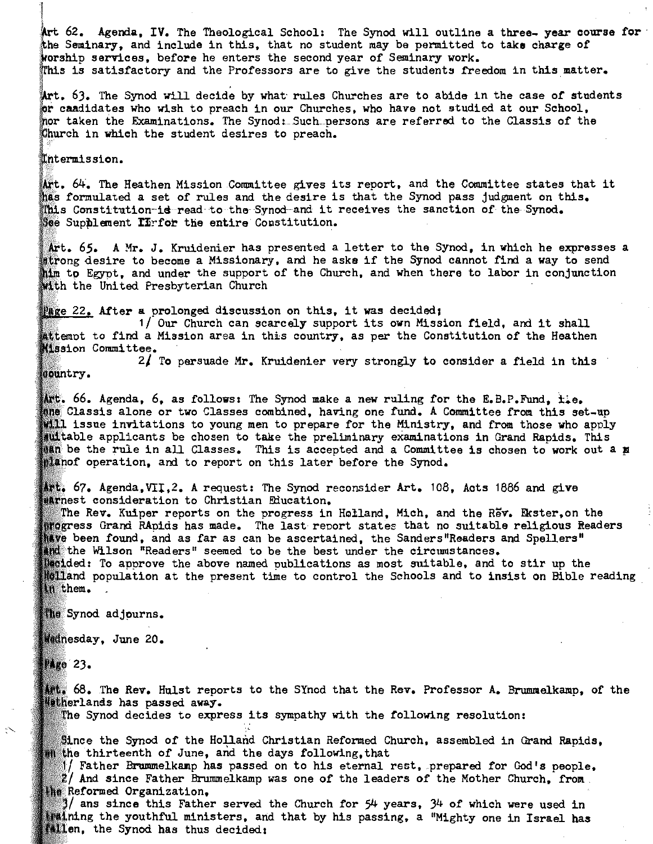Art 62. Agenda, IV. The Theological School: The Synod will outline a three- year course for -<br>the Seminary, and include in this, that no student may be permitted to take charge of worship services, before he enters the second year of Seminary work. Ihis is satisfactory and the Professors are to give the students freedom in this matter.

- - --- - -- - -- ------------.\_.\_---------------

63. The Synod will decide by what- rules Churches are to abide in the case *of* students caadidates who wish to preach in our Churches, who have not studied at our School, nor taken the Examinations. The Synod: Such persons are referred to the Classis of the Church in which the student desires to preach.

 $\mathbb I$ ntermission.

Art. 64. The Heathen Mission Committee gives its report, and the Committee states that it has formulated a set of rules and the desire is that the Synod pass judgment on this. This Constitution-id-read to the Synod-and it receives the sanction of the Synod. See Supplement  $\texttt{ITrfor}$  the entire Constitution.

Art. 65. A Mr. J. Kruidenier has presented a letter to the Synod, in which he expresses a atrong desire to become a Missionary, and he asks if the Synod cannot find a way to send him to Egypt, and under the support of the Church, and when there to labor in conjunction with the United Presbyterian Church

Page 22. After a prolonged discussion on this, it was decided;

1/ Our Church can scarcely support its own Mission field, and it shall attempt to find a Mission area in this country, as per the Constitution of the Heathen **Mission Committee.** 

2/ To persuade Mr. Kruidenier very strongly to consider a field in this sountry.

Art. 66. Agenda, 6, as follows: The Synod make a new ruling for the E.B.P.Fund,  $t.e.$ Classis alone or two Classes combined, having one fund. A Committee from this set-up **Will issue invitations to young men to prepare for the Ministry, and from those who apply** auttable applicants be chosen to take the preliminary examinations in Grand Rapids. This  $t$ an be the rule in all Classes. This is accepted and a Committee is chosen to work out a  $\pi$ planof operation, and to report on this later before the Synod.

Art. 67. Agenda,VII.2. A request: The Synod reconsider Art. 108. Acts 1886 and give **sarnest consideration to Christian Education.** 

The Rev. Kuiper reports on the progress in Holland, Mich, and the Rev. Ekster, on the progress Grand RApids has made. The last report states that no suitable religious Readers have been found, and as far as can be ascertained, the Sanders"Readers and Spellers" And the Wilson "Readers" seemed to be the best under the circumstances. ledided: To approve the above named publications as most suitable, and to stir up the

**polland population at the present time to control the Schools and to insist on Bible reading** in them.

the Synod adjourns.

Wednesday, June 20.

**Mago 23.** 

 $\blacksquare$  68. The Rev. Hulst reports to the SYnod that the Rev. Professor A. Brummelkamp, of the **Hatherlands has passed away.** 

The Synod decides to express its sympathy with the following resolution:

Since the Synod of the Holland Christian Reformed Church, assembled in Grand Rapids. **in** the thirteenth of June, and the days following, that

 $\mathbb{I}/$  Father Brummelkamp has passed on to his eternal rest, prepared for God's people,  $2/$  And since Father Brummelkamp was one of the leaders of the Mother Church, from the Reformed Organization.

 $3/$  ans since this Father served the Church for 54 years, 34 of which were used in ifaining the youthful ministers, and that by his passing, a "Mighty one in Israel has **fillen**, the Synod has thus decided: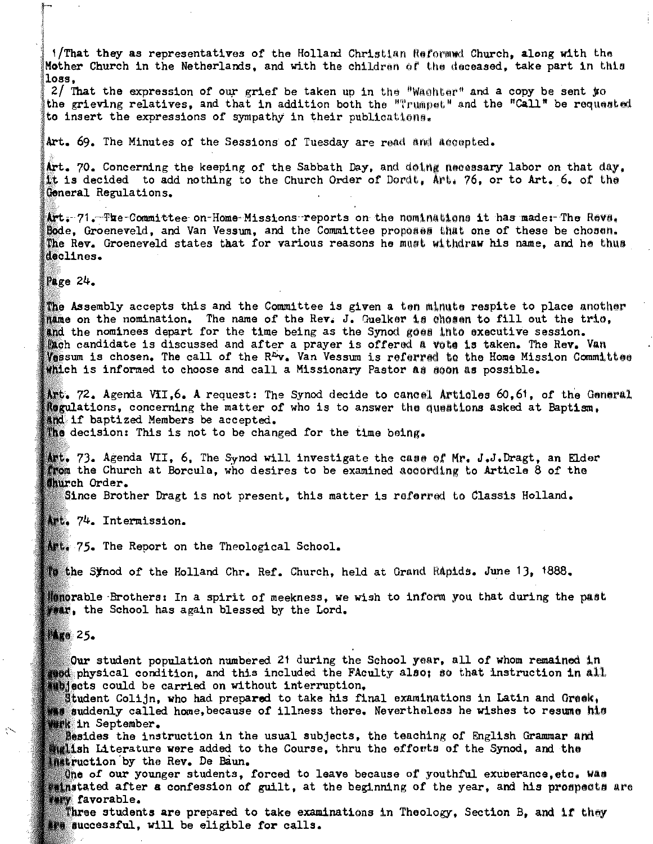1/That they as representatives of the Holland Christian Reformed Church, along with the Mother Church in the Netherlands, and with the children of the deceased, take part in this  $_{loss.}$ 

2/ That the expression of our grief be taken up in the "Wachter" and a copy be sent to the grieving relatives, and that in addition both the "Trumpet" and the "Call" be requested to insert the expressions of sympathy in their publications.

Art. 69. The Minutes of the Sessions of Tuesday are read and accepted.

Art. 70. Concerning the keeping of the Sabbath Day, and doing necessary labor on that day. it is decided to add nothing to the Church Order of Dordt, Art, 76, or to Art. 6, of the General Regulations.

Art. 71. The Committee on Home Missions reports on the nominations it has made: The Rova. Bode, Groeneveld, and Van Vessum, and the Committee proposes that one of these be chosen. The Rev. Groeneveld states that for various reasons he must withdraw his name, and he thus declines.

Page  $24$ .

The Assembly accepts this and the Committee is given a ten minute respite to place another name on the nomination. The name of the Rev. J. Guelker is chosen to fill out the tric. and the nominees depart for the time being as the Synod goes into executive session. Dach candidate is discussed and after a prayer is offered a vote is taken. The Rev. Van Vessum is chosen. The call of the R<sup>ri</sup>v. Van Vessum is referred to the Home Mission Committee which is informed to choose and call a Missionary Pastor as soon as possible.

Art. 72. Agenda VII.6. A request: The Synod decide to cancel Articles 60.61, of the General Regulations, concerning the matter of who is to answer the questions asked at Baptism. and if baptized Members be accepted.

The decision: This is not to be changed for the time being.

腰は。73。Agenda VII。6. The Synod will investigate the case of Mr. J.J.Dragt, an Elder from the Church at Borcula, who desires to be examined according to Article 8 of the Church Order.

Since Brother Dragt is not present, this matter is referred to Classis Holland.

Art. 74. Intermission.

Alt. 75. The Report on the Theological School.

to the Synod of the Holland Chr. Ref. Church, held at Grand Rapids. June 13, 1888.

Menorable Brothers: In a spirit of meekness, we wish to inform you that during the past than, the School has again blessed by the Lord.

**MARO 25.** 

 $\sum$ 

Our student population numbered 21 during the School year, all of whom remained in reed physical condition, and this included the FAculty also; so that instruction in all. subjects could be carried on without interruption.

Student Colijn, who had prepared to take his final examinations in Latin and Greek, wis suddenly called home, because of illness there. Nevertheless he wishes to resume his **Brk** in September.

Besides the instruction in the usual subjects, the teaching of English Grammar and **inglish Literature were added to the Course, thru the efforts of the Synod, and the Instruction by the Rev. De Baun.** 

One of our younger students, forced to leave because of youthful exuberance, etc. Was eminatated after a confession of guilt, at the beginning of the year, and his prospects are **Fary favorable.** 

Three students are prepared to take examinations in Theology. Section B. and if they We successful, will be eligible for calls.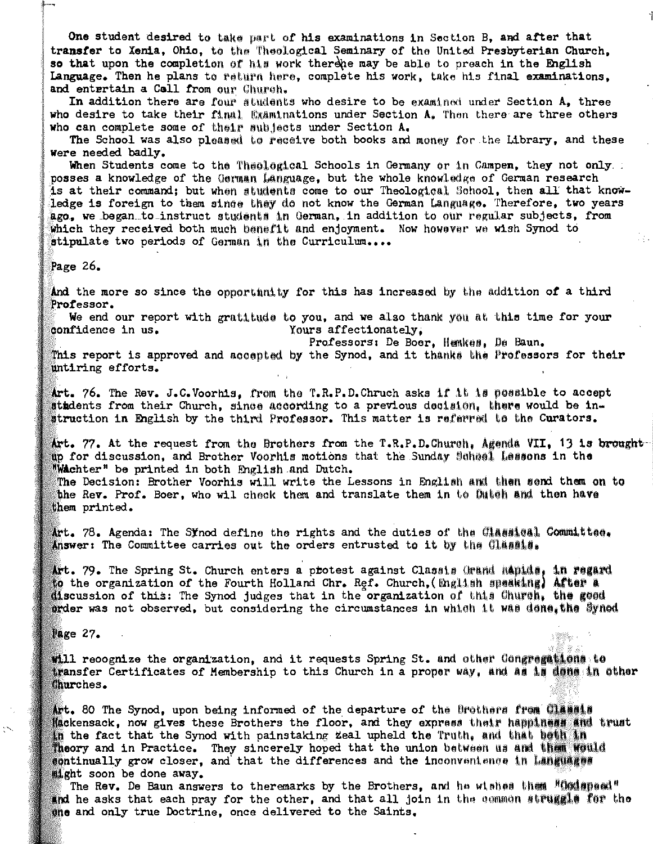One student desired to take part of his examinations in Section B, and after that transfer to Xenia, Ohio, to the Theological Seminary of the United Presbyterian Church, so that upon the completion of his work there may be able to preach in the English Language. Then he plans to return here, complete his work, take his final examinations, and entertain a Call from our Church.

In addition there are four students who desire to be examined under Section A, three who desire to take their final Examinations under Section A. Then there are three others who can complete some of their subjects under Section A.

The School was also pleased to receive both books and money for the Library, and these were needed badly.

When Students come to the Theological Schools in Germany or in Campen, they not only. posses a knowledge of the German Language, but the whole knowledge of German research is at their command; but when students come to our Theological School, then all that knowledge is foreign to them since they do not know the German Language. Therefore, two years ago, we began to instruct students in German, in addition to our regular subjects, from which they received both much banefit and enjoyment. Now however we wish Synod to stipulate two periods of German in the Curriculum....

Page 26.

And the more so since the opportunity for this has increased by the addition of a third Professor.

We end our report with gratitude to you, and we also thank you at this time for your Yours affectionately. confidence in us.

Professors: De Boer, Hemkes, De Baun.

This report is approved and accepted by the Synod, and it thanks the Professors for their untiring efforts.

Art. 76. The Rev. J.C.Voorhis, from the T.R.P.D.Chruch asks if it is possible to accept stidents from their Church, since according to a previous decision, there would be instruction in English by the third Professor. This matter is referred to the Curators.

Art. 77. At the request from the Brothers from the T.R.P.D.Church, Agenda VII, 13 is brought up for discussion, and Brother Voorhis motions that the Sunday School Lessons in the **Wachter"** be printed in both English and Dutch.

The Decision: Brother Voorhis will write the Lessons in English and then send them on to the Rev. Prof. Boer, who wil check them and translate them in to Dutch and then have them printed.

 $\Delta$ rt. 78. Agenda: The Synod define the rights and the duties of the Classical Committee. Answer: The Committee carries out the orders entrusted to it by the Classis.

Art. 79. The Spring St. Church enters a protest against Classis Grand Rapids, in regard to the organization of the Fourth Holland Chr. Ref. Church, (English speaking) After a discussion of this: The Synod judges that in the organization of this Church, the good prder was not observed, but considering the circumstances in which it was dene, the Synod

**Page 27.** 

 $\sim$ 

will recognize the organization, and it requests Spring St. and other Congregations to transfer Certificates of Membership to this Church in a proper way, and as is denoting the other Churches.

Art. 80 The Synod, upon being informed of the departure of the Brothers from Classia Mackensack, now gives these Brothers the floor, and they express their happiness and trust in the fact that the Synod with painstaking zeal upheld the Truth, and that beth in Theory and in Practice. They sincerely hoped that the union between us and them would **ilght soon be done away.** 

The Rev. De Baun answers to theremarks by the Brothers, and he wishes then "Codeped" and he asks that each pray for the other, and that all join in the common struggle for the one and only true Doctrine, once delivered to the Saints.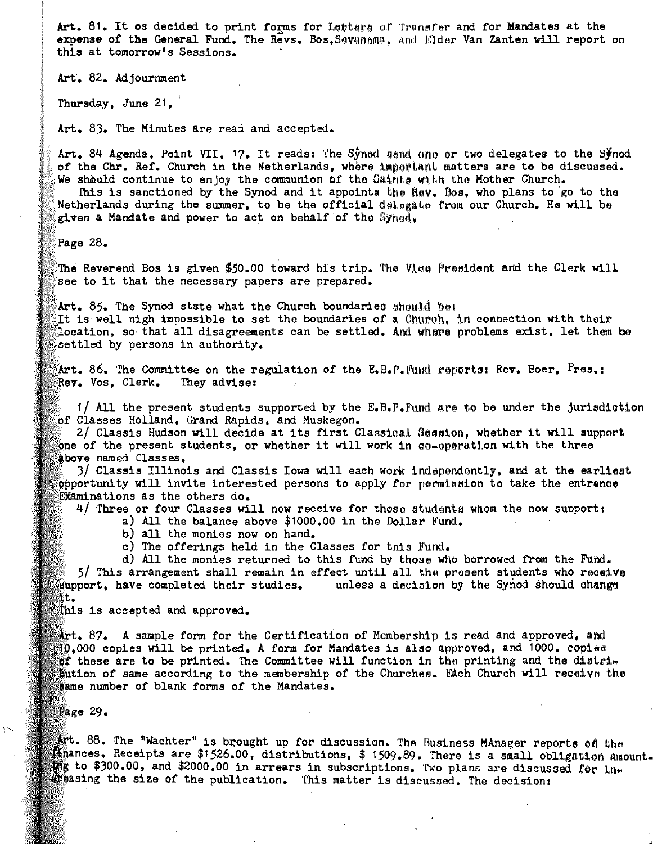Art. 81. It os decided to print forms for Letters of Transfer and for Mandates at the expense of the General Fund. The Revs. Bos, Sevensma, and Elder Van Zanten will report on this at tomorrow's Sessions.

Art'. 82. Adjournment

Thursday, June 21,

Art. 8). The Minutes are read and accepted.

Art. 84 Agenda, Point VII, 17. It reads: The Synod mend one or two delegates to the Synod of the Chr. Ref. Church in the Netherlands, where important matters are to be discussed. We shauld continue to enjoy the communion af the Saints with the Mother Church.

This is sanctioned by the Synod and it appoints the Rev. Bos, who plans to go to the Netherlands during the summer, to be the official delegate from our Church. He will be given a Mandate and power to act on behalf of the Syned.

Page  $28.$ 

The Reverend Bos is given \$50.00 toward his trip. The Viee President and the Clerk will see to it that the necessary papers are prepared.

Art. 85. The Synod state what the Church boundaries should be: It is well nigh impossible to set the boundaries of a Church. in connection with their location, so that all disagreements can be settled. And where problems exist, let them be settled by persons in authority.

Art. 86. The Committee on the regulation of the E.B.P. Aund reports: Rev. Boer,  $P$ res. I Rev. Vos, Clerk. They advise:

 $1/$  All the present students supported by the E.B.P. Fund are to be under the jurisdiction of Classes Holland, Grand Rapids, and Muskegon.

 $2/$  Classis Hudson will decide at its first Classical Secation, whether it will support one of the present students, or whether it will work in co-operation with the three above named Classes.

 $3/$  Classis Illinois and Classis Iowa will each work independently, and at the earliest opportunity will invite interested persons to apply for permission to take the entrance EXaminations as the others do.

 $4/$  Three or four Classes will now receive for those students whom the now support;

a) All the balance above \$1000.00 in the Dollar Fund.

b) all the monies now on hand.

c) The offerings held in the Classes for this Fund.

d) All the monies returned to this fund by those who borrowed from the Fund. 5/ This arrangement shall remain in effect until all tho present students who reoeive  $\texttt{support, have completed their studies,}$  unless a decision by the Synod should change it.

This is accepted and approved.

Art. 87. A sample form for the Certification of Membership is read and approved, and  $00,000$  copies will be printed. A form for Mandates is also approved, and 1000. copies of these are to be printed. The Committee will function in the printing and the distri-Bution of same according to the membership of the Churches. Each Church will receive the same number of blank forms of the Mandates.

Page 29.

 $\delta$ rt. 88. The "Wachter" is brought up for discussion. The Business MAnager reports of the llinances. Receipts are \$1526.00, distributions, \$ 1509.89. There is a small obligation amount-\$100.00, and \$2000.00 in arrears in subscriptions. Two plans are discussed for inareasing the size of the publication. This matter is discussed. The decision: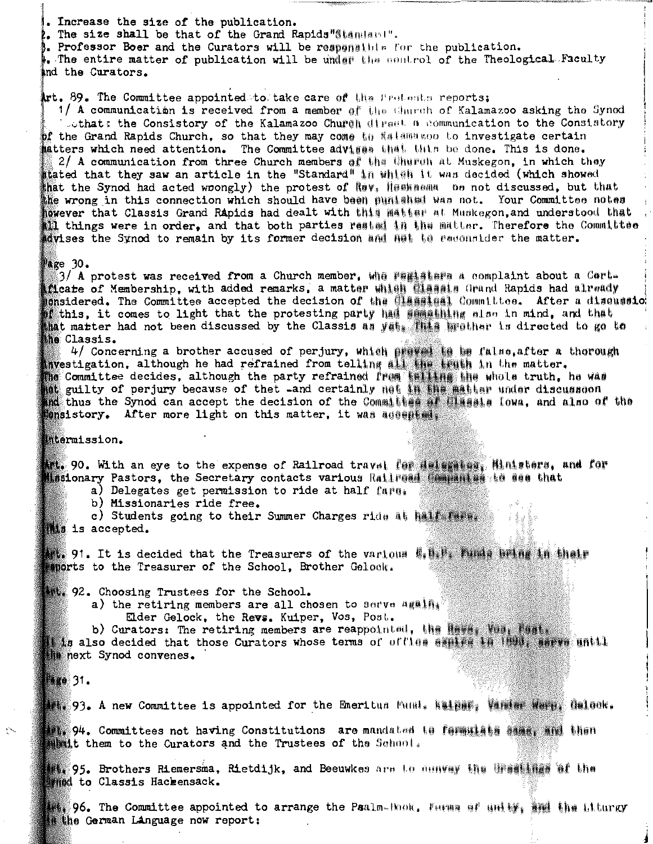. Increase the size of the publication.

. The size shall be that of the Grand Rapids "Standard".

. Professor Boer and the Curators will be responsible for the publication.

. The entire matter of publication will be under the nontrol of the Theological Faculty ind the Curators.

art. 89. The Committee appointed to take care of the frotonts reports;

1/ A communication is received from a member of the thurch of Kalamazoo asking the Synod Lothat; the Consistory of the Kalamazoo Church diract a communication to the Consistory of the Grand Rapids Church, so that they may come to falamayoo to investigate certain matters which need attention. The Committee advisss that this be done. This is done. 2/ A communication from three Church members of the thurch at Muskegon, in which they stated that they saw an article in the "Standard" in which it was decided (which showed that the Synod had acted wrongly) the protest of Nev. Heskasma be not discussed, but that the wrong in this connection which should have been munished was not. Your Committee notes however that Classis Grand Rapids had dealt with this matter at Muskegon, and understood that ill things were in order, and that both parties rested in the matter. Therefore the Committee advises the Synod to remain by its former decision and hat to recountder the matter.

#### $\mathbb{P}$ age 30.

 $3/$  A protest was received from a Church member. Whe realisers a complaint about a Certficate of Membership, with added remarks, a matter which diasals Grand Rapids had already mansidered. The Committee accepted the decision of the **Classial** Committee. After a discussio if this. it comes to light that the protesting party had semathing slas in mind, and that hat marter had not been discussed by the Classis as yet. This brother is directed to go to the Classis.

4/ Concerning a brother accused of perjury, which prevet to be false, after a thorough investigation, although he had refrained from telling all the truth in the matter. The Committee decides, although the party refrained from telling the whole truth, he was not guilty of perjury because of thet and certainly not in the matter under discusseon ind thus the Synod can accept the decision of the Committed of the same, and also of the ionsistory. After more light on this matter, it was assessed.

#### intermission.

**Att. 90. With an eye to the expense of Railroad travel for deleminary, Ministers, and for** Missionary Pastors, the Secretary contacts various Railread Companies to see that<br>a) Delegates get permission to ride at half fare.

b) Missionaries ride free.

c) Students going to their Summer Charges ride at half fars.

this is accepted.

191. It is decided that the Treasurers of the various E. H. Funda bring in thair ments to the Treasurer of the School, Brother Gelock.

92. Choosing Trustees for the School.

- a) the retiring members are all chosen to serve again. Elder Gelock, the Revs. Kuiper, Vos, Post.
	-

b) Curators: The retiring members are reappointed, the Haves Vas, Fast. t is also decided that those Curators whose terms of offles sanite in 1990, sarve until he next Synod convenes.

## **Made 31.**

##### 93. A new Committee is appointed for the Emeritus Muni, Naider, Vaning Warn, Galook.

**解释: 94. Committees not having Constitutions are mandated to formulate manus. And then Minit them to the Curators and the Trustees of the School.** 

#1, 95. Brothers Riemersma, Rietdijk, and Beeuwkes are to dunvay the treating of the **Mind to Classis Hackensack.** 

206. The Committee appointed to arrange the Paalm-Hook, Farma of anters in the Liturgy the German Linguage now report: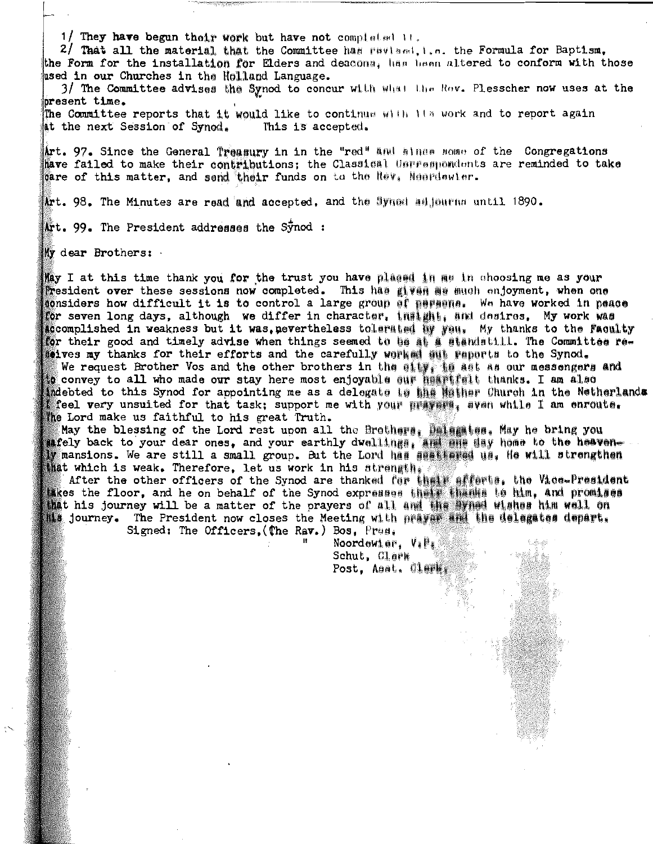1/ They have begun their work but have not completed it.

2/ That all the material that the Committee has revised, i.e. the Formula for Baptism, the Form for the installation for Elders and deacons, has been altered to conform with those used in our Churches in the Holland Language.

3/ The Committee advises the Synod to concur with what the Rov. Plesscher now uses at the bresent time.

The Committee reports that it would like to continue with its work and to report again at the next Session of Synod. This is accepted.

Art. 97. Since the General Treasury in in the "red" and almes some of the Congregations have failed to make their contributions; the Classical Ungrampondents are reminded to take care of this matter, and send their funds on to the Rev. Neardewler.

Art. 98. The Minutes are read and accepted. and the Syned adjourns until 1890.

Art. 99. The President addresses the Synod:

Wy dear Brothers:

May I at this time thank you for the trust you have placed in me in choosing me as your President over these sessions now completed. This has given me much enjoyment, when one considers how difficult it is to control a large group of paraena. We have worked in peace for seven long days, although we differ in character, insight, and desires, My work was accomplished in weakness but it was, pevertheless tolerated by you. My thanks to the Faculty for their good and timely advise when things seemed to be at a standatill. The Committee redeives my thanks for their efforts and the carefully worked sut reports to the Synod. We request Brother Vos and the other brothers in the eity. If all as our messengers and to convey to all who made our stay here most enjoyable our heartfalt thanks. I am also indebted to this Synod for appointing me as a delegate to the Hither Church in the Netherlands feel very unsuited for that task; support me with your prayers, even while I am enroute. the Lord make us faithful to his great Truth.

May the blessing of the Lord rest upon all the Brothers. Delamines, May he bring you afely back to your dear ones, and your earthly dwellings, and any home to the heaven-W mansions. We are still a small group. But the Lord has seattered us. He will strengthen that which is weak. Therefore, let us work in his strength.

After the other officers of the Synod are thanked for their afforts, the Vice-President lakes the floor, and he on behalf of the Synod expresses their thanks to him, and promises that his journey will be a matter of the prayers of all and the synad wishes him well on its journey. The President now closes the Meeting with prayer and the delegates depart,

Signed: The Officers, (The Rav.) Bos, Pres.

Noordewier,  $V_{\bar{x}}P_{\bar{x}}$ Schut, Clark Post, Asst, Clark,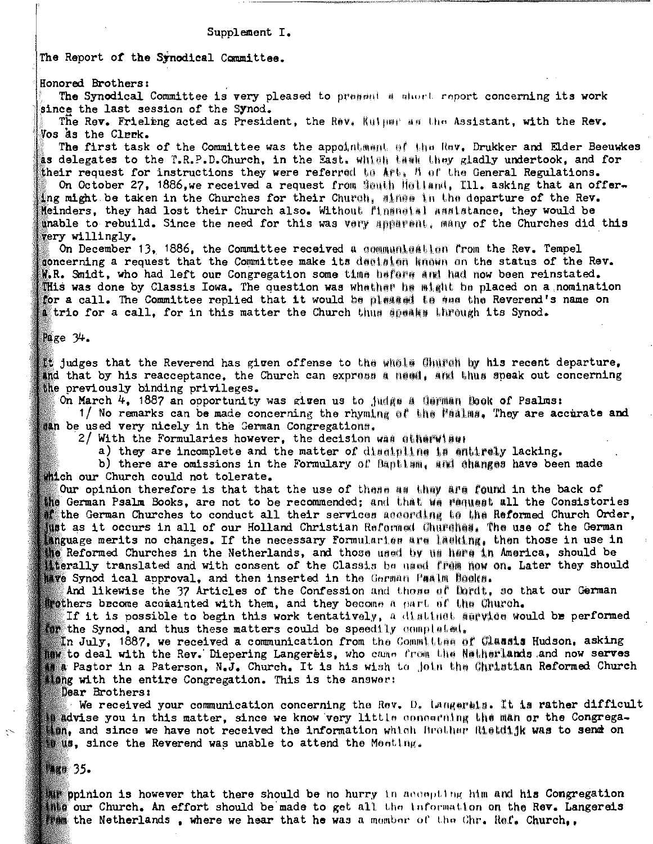#### Supplement I.

The Report of the Synodical Committee.

Honored Brothers:

The Synodical Committee is very pleased to present a short report concerning its work since the last session of the Synod.

The Rev. Frieleng acted as President, the Rev. Kulper as the Assistant, with the Rev. Vos às the Clerk.

The first task of the Committee was the appointment of the Rov. Drukker and Elder Beeuwkes as delegates to the T.R.P.D.Church, in the East. which thank they gladly undertook, and for their request for instructions they were referred to  $A \cap B$  of the General Regulations.

On October 27, 1886, we received a request from South Holland, Ill. asking that an offering might be taken in the Churches for their Church, mines in the departure of the Rev. Meinders, they had lost their Church also. Without financial assistance, they would be unable to rebuild. Since the need for this was very apparent, many of the Churches did this very willingly.

On December 13, 1886, the Committee received a communication from the Rev. Tempel concerning a request that the Committee make its decision known on the status of the Rev.  $\mathbb R$ . Smidt, who had left our Congregation some time before and had now been reinstated. This was done by Classis Iowa. The question was whather he might be placed on a nomination for a call. The Committee replied that it would be pleased to see the Reverend's name on trio for a call, for in this matter the Church thus speaks through its Synod.

 $Page 34.$ 

 $\mathbb{R}$  judges that the Reverend has given offense to the whele Church by his recent departure, and that by his reacceptance, the Church can express a need, and thus speak out concerning the previously binding privileges.

On March 4, 1887 an opportunity was given us to judge a Carman Book of Psalms:

1/ No remarks can be made concerning the rhyming of the Paalma. They are accirate and san be used very nicely in the German Congregations.

2/ With the Formularies however, the decision was stherwiser

a) they are incomplete and the matter of discipling is entirely lacking.

b) there are omissions in the Formulary of Bantism, and changes have been made thich our Church could not tolerate.

Our opinion therefore is that that the use of these as they are found in the back of the German Psalm Books, are not to be recommended; and that we request all the Consistories  $\blacksquare$  the German Churches to conduct all their services according to the Reformed Church Order, tust as it occurs in all of our Holland Christian Reformed Churches. The use of the German language merits no changes. If the necessary formularies are lasking, then those in use in the Reformed Churches in the Netherlands, and those used by us hare in America, should be terally translated and with consent of the Classis be used from now on. Later they should ave Synod ical approval, and then inserted in the German Paalm Books.

And likewise the 37 Articles of the Confession and thome of Dordt, so that our German frothers become acomainted with them, and they become a part of the Church.

If it is possible to begin this work tentatively, a distinct service would be performed the Synod, and thus these matters could be speedily completed,

In July, 1887, we received a communication from the Committee of Classis Hudson, asking to deal with the Rev. Diepering Langereis, who came from the Netherlands and now serves a Pastor in a Paterson, N.J. Church. It is his wish to join the Christian Reformed Church ting with the entire Congregation. This is the answer:

Dear Brothers:

We received your communication concerning the Rev. D. Langerais. It is rather difficult advise you in this matter, since we know very little concerning the man or the Congregation, and since we have not received the information which Brother Rietdijk was to send on **With**, since the Reverend was unable to attend the Menting.

**Mage 35.** 

the ppinion is however that there should be no hurry in accepting him and his Congregation the our Church. An effort should be made to get all the information on the Rev. Langereis the Netherlands, where we hear that he was a momber of the Chr. Ref. Church..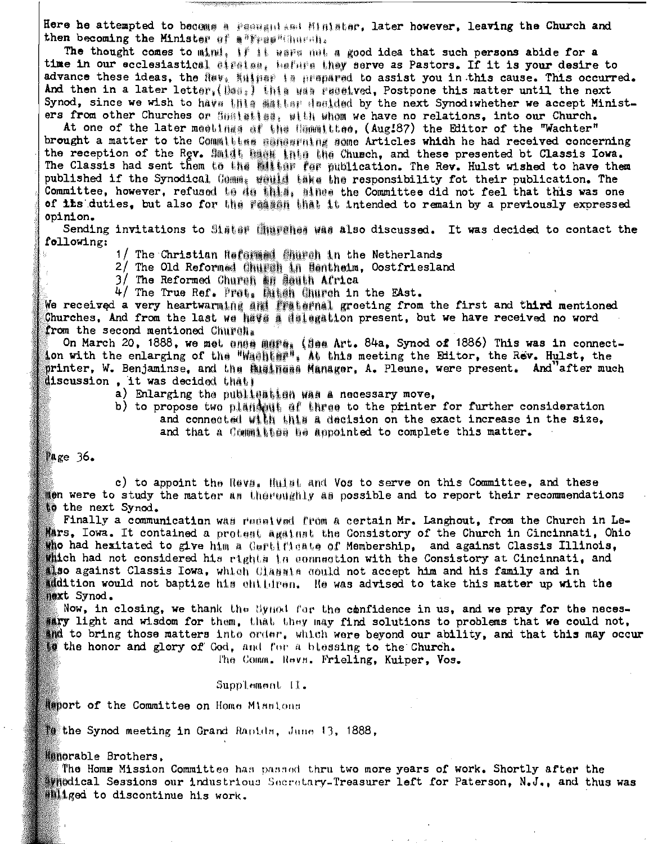Here he attempted to become a peasent and Minister, later however, leaving the Church and then becoming the Minister of a"Fras" thursh.

The thought comes to mind, if it wave met a good idea that such persons abide for a time in our ecclesiastical airaism, hafnra they serve as Pastors. If it is your desire to advance these ideas, the Rev. Kulper is prepared to assist you in this cause. This occurred. And then in a later letter. (Das.) this was received. Postpone this matter until the next Synod, since we wish to have this satisfar dealded by the next Synod: whether we accept Ministers from other Churches or Sealatian, with whem we have no relations, into our Church.

At one of the later meetings of the Committee, (Aug187) the Editor of the "Wachter" brought a matter to the Committee sanaring some Articles which he had received concerning the reception of the Rev. Smidt has into the Church, and these presented bt Classis Iowa. The Classis had sent them to the mitter for publication. The Rev. Hulst wished to have them published if the Synodical Comm. whill take the responsibility fot their publication. The Committee, however, refused to do this, since the Committee did not feel that this was one of its duties, but also for the Feeses that it intended to remain by a previously expressed opinion.

Sending invitations to Sister Churshes was also discussed. It was decided to contact the following:

1/ The Christian Refei顆線 創油的 in the Netherlands

2/ The Old Reformed Church in Bentheim, Oostfriesland

3/ The Reformed Church an South Africa

4/ The True Ref. Pret. Ditch Church in the EAst.

We received a very heartwarming and fraternal greeting from the first and third mentioned Churches, And from the last we have a delegation present, but we have received no word from the second mentioned Church.

On March 20, 1888, we met enee mare: (Sea Art. 84a, Synod of 1886) This was in connection with the enlarging of the "Washing", At this meeting the Editor, the Rev. Hulst, the printer, W. Benjaminse, and the Business Manager, A. Pleune, were present. And after much discussion, it was decided that;

a) Enlarging the publishing was a necessary move.

b) to propose two plantsut of three to the printer for further consideration and connected with this a decision on the exact increase in the size. and that a Committee be appointed to complete this matter.

Page  $36.$ 

c) to appoint the Reva, Hulat and Vos to serve on this Committee, and these men were to study the matter as the equatity as possible and to report their recommendations to the next Synod.

Finally a communication was received from a certain Mr. Langhout, from the Church in Le-Mars, Iowa. It contained a protest against the Consistory of the Church in Cincinnati, Ohio tho had hexitated to give him a Gertificate of Membership, and against Classis Illinois, which had not considered his rights in connection with the Consistory at Cincinnati, and iso against Classis Iowa, which Classis could not accept him and his family and in addition would not baptize his children. He was advised to take this matter up with the next Synod.

Now, in closing, we thank the Synod for the confidence in us, and we pray for the necessary light and wisdom for them, that they may find solutions to problems that we could not, and to bring those matters into order, which were beyond our ability, and that this may occur to the honor and glory of God, and for a blessing to the Church.

The Comm. Revn. Frieling. Kuiper, Vos.

Supplement II.

deport of the Committee on Home Missions

the Synod meeting in Grand Rapids, June 13, 1888,

Manorable Brothers.

The Home Mission Committee has passed thru two more years of work. Shortly after the #medical Sessions our industrious Secretary-Treasurer left for Paterson, N.J., and thus was **Illged to discontinue his work.**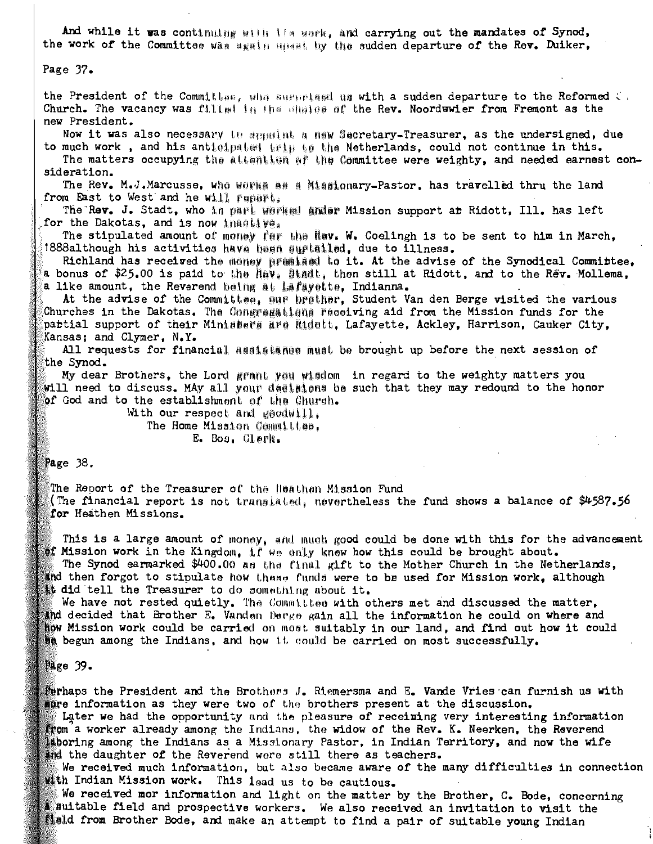And while it was continuing with its week, and carrying out the mandates of Synod, the work of the Committee was seath upent by the sudden departure of the Rev. Duiker,

### Page 37.

the President of the Committee, who suggetsed us with a sudden departure to the Reformed C. Church. The vacancy was fillment in the shales of the Rev. Noordewier from Fremont as the new President.

Now it was also necessary to appulnt a new Secretary-Treasurer, as the undersigned, due to much work, and his antioipated trip to the Netherlands, could not continue in this.

The matters occupying the altention of the Committee were weighty, and needed earnest consideration.

The Rev. M.J.Marcusse, who works as a Missionary-Pastor, has travelled thru the land from East to West and he will rapart.

The Rev. J. Stadt, who in part warked ander Mission support at Ridott, Ill. has left for the Dakotas, and is now inactive.

The stipulated amount of money far the flav. W. Coelingh is to be sent to him in March, 1888although his activities have been auriailed, due to illness.

Richland has received the money premised to it. At the advise of the Synodical Committee, a bonus of \$25.00 is paid to the Nev, Stadt, then still at Ridott, and to the Rev. Mollema, a like amount, the Reverend being at Lafayette, Indianna.

At the advise of the Committes, sur brather, Student Van den Berge visited the various Churches in the Dakotas. The Congregations receiving aid from the Mission funds for the pattial support of their Minisbers are Ridett. Lafayette, Ackley, Harrison, Cauker City, Kansas; and Clymer, N.Y.

All requests for financial assistance must be brought up before the next session of the Synod.

My dear Brothers, the Lord grant you wisdom in regard to the weighty matters you will need to discuss. MAy all your desiglens be such that they may redound to the honor of God and to the establishment of the Church.

With our respect and goodwill. The Home Mission Committee. E. Bos, Clerk.

### Page  $38.$

The Report of the Treasurer of the Heathen Mission Fund (The financial report is not translated, nevertheless the fund shows a balance of  $\frac{4587.56}{ }$ for Heathen Missions.

This is a large amount of money, and much good could be done with this for the advancement of Mission work in the Kingdom, if we only knew how this could be brought about.

The Synod earmarked \$400.00 as the final gift to the Mother Church in the Netherlands, and then forgot to stipulate how these funds were to be used for Mission work, although it did tell the Treasurer to do something about it.

We have not rested quietly. The Committee with others met and discussed the matter, and decided that Brother E. Vanden Berge gain all the information he could on where and how Mission work could be carried on most suitably in our land, and find out how it could **be** begun among the Indians, and how it could be carried on most successfully.

### Page 39.

Perhaps the President and the Brothers J. Riemersma and E. Vande Vries can furnish us with more information as they were two of the brothers present at the discussion.

Later we had the opportunity and the pleasure of receining very interesting information from a worker already among the Indians, the widow of the Rev. K. Neerken, the Reverend laboring among the Indians as a Missionary Pastor, in Indian Territory, and now the wife and the daughter of the Reverend were still there as teachers.

We received much information, but also became aware of the many difficulties in connection th Indian Mission work. This lead us to be cautious.

We received mor information and light on the matter by the Brother, C. Bode, concerning suitable field and prospective workers. We also received an invitation to visit the sield from Brother Bode, and make an attempt to find a pair of suitable young Indian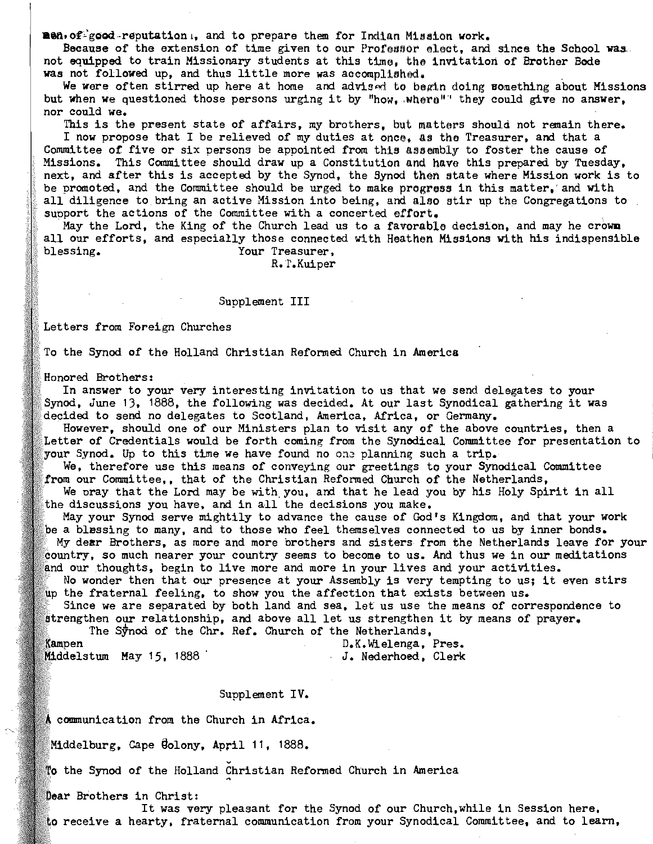men. of good reputation., and to prepare them for Indian Mission work.

Because of the extension of time given to our Professor elect, and since the School was. not equipped to train Missionary students at this time, the invitation of Brother Bode was not followed up, and thus little more was accomplished.

We were often stirred up here at home and advised to begin doing something about Missions but when we questioned those persons urging it by "how, where" they could give no answer, nor could we.

This is the present state of affairs, my brothers, but matters should not remain there. I now propose that I be relieved of my duties at once, as the Treasurer, and that a Committee of five or six persons be appointed from this assembly to foster the cause of Missions. This Committee should draw up a Constitution and have this prepared by Tuesday, next, and after this is accepted by the Synod, the Synod then state where Mission work is to be promoted, and the Committee should be urged to make progress in this matter, and with all diligence to bring an active Mission into being, and also stir up the Congregations to support the actions of the Committee with a concerted effort.

May the Lord, the King of the Church lead us to a favorable decision, and may he crown all our efforts, and especially those connected with Heathen Missions with his indispensible blessing. Your Treasurer.

R.T.Kuiper

#### Supplement III

Letters from Foreign Churches

To the Synod of the Holland Christian Reformed Church in America

Honored Brothers:

In answer to your very interesting invitation to us that we send delegates to your Synod, June 13, 1888, the following was decided. At our last Synodical gathering it was decided to send no delegates to Scotland, America, Africa, or Germany.

However, should one of our Ministers plan to visit any of the above countries, then a Letter of Credentials would be forth coming from the Synodical Committee for presentation to your Synod. Up to this time we have found no one planning such a trip.

We, therefore use this means of conveying our greetings to your Synodical Committee from our Committee,, that of the Christian Reformed Church of the Netherlands,

We oray that the Lord may be with you, and that he lead you by his Holy Spirit in all the discussions you have, and in all the decisions you make.

May your Synod serve mightily to advance the cause of God's Kingdom, and that your work be a blussing to many, and to those who feel themselves connected to us by inner bonds. My dear Brothers, as more and more brothers and sisters from the Netherlands leave for your country, so much nearer your country seems to become to us. And thus we in our meditations and our thoughts, begin to live more and more in your lives and your activities.

No wonder then that our presence at your Assembly is very tempting to us; it even stirs

up the fraternal feeling, to show you the affection that exists between us. Since we are separated by both land and sea, let us use the means of correspondence to

strengthen our relationship, and above all let us strengthen it by means of prayer. The Synod of the Chr. Ref. Church of the Netherlands,

Kampen D.K.Wielenga, Pres. Middelstum May 15, 1888 J. Nederhoed, Clerk

#### Supplement IV.

A communication from the Church in Africa.

Middelburg, Cape Golony, April 11, 1888.

To the Synod of the Holland Christian Reformed Church in America

Dear Brothers in Christ:

It was very pleasant for the Synod of our Church, while in Session here, to receive a hearty, fraternal communication from your Synodical Committee, and to learn,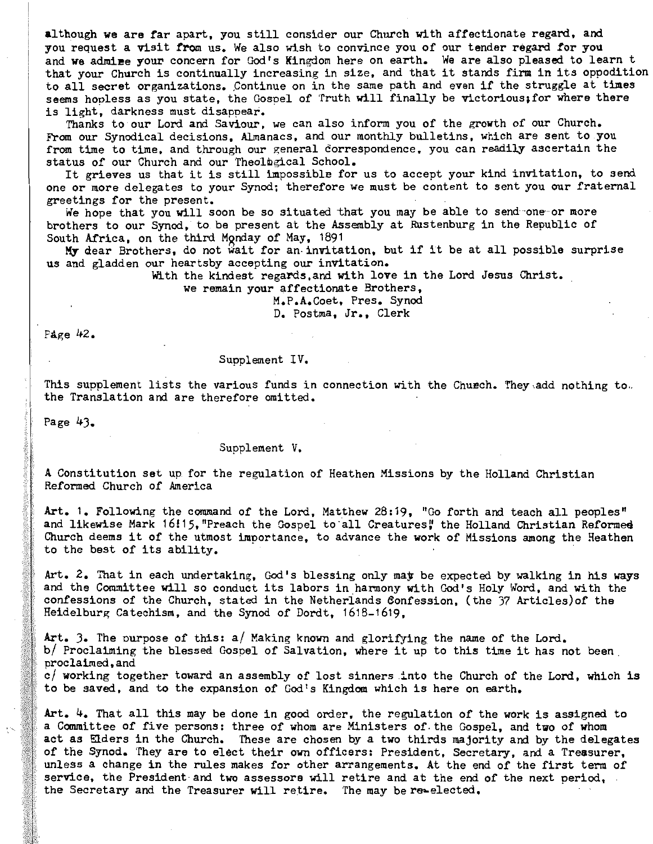although we are far apart, you still consider our Church with affectionate regard, and you request a visit from us. We also wish to convince you of our tender regard for you and we admine your concern for God's Kingdom here on earth. We are also pleased to learn t that your Church is continually increasing in size, and that it stands firm in its oppodition to all secret organizations. Continue on in the same path and even if the struggle at times seems hooless as you state, the Gosoel of Truth will finally be victorious;for where there is light, darkness must disappear.

Thanks to our Lord and Saviour. we can also inform you of the growth of our Church. From our Synodical decisions, Almanacs, and our monthly bulletins, which are sent to you from time to time. and through our general correspondence. you can readily ascertain the status of our Church and our Theological School.

It grieves us that it is still impossible for us to accept your kind invitation, to send one or more delegates to your Synod; therefore we must be content to sent you our fraternal greetings for the present.

We hope that you will soon be so situated that you may be able to send one or more brothers to our Synod. to be present at the Assembly at Rustenburg in the Republic of South Africa, on the third Monday of May, 1891

My dear Brothers, do not wait for an· invitation, but if it be at all possible surprise us and gladden our heartsby accepting our invitation.

With the kindest regards,and with love in the Lord Jesus Christ.

we remain your affectionate Brothers,

M.P.A.Coet, Pres. Synod D. Postma, Jr., Clerk

PAge 42.

#### Supplement IV.

This supplement lists the various funds in connection with the Church. They add nothing to ..<br>the Translation and are therefore omitted.

Page 43.

#### Supplement V.

A Constitution set up for the regulation of Heathen Missions by the Holland Christian Reformed Church of America

Art. 1. Following the command of the Lord, Matthew 28:19, "Go forth and teach all peoples" and likewise Mark 16!15, "Preach the Gospel to all Creatures" the Holland Christian Reformed Church deems it of the utmost importance, to advance the work of Missions among the Heathen to the best of its ability.

Art. 2. That in each undertaking, God's blessing only may be expected by walking in his ways and the Committee will so conduct its labors in harmony with God's Holy Word, and with the confessions of the Church, stated in the Netherlands 6onfession. (the 37 Articles)of the Heidelburg Catechism. and the Synod of Dordt, 1618-1619.

Art. 3. The purpose of this: a/ Making known and glorifying the name of the Lord. b/ Proclaiming the blessea Gospel of Salvation, where it up to this time it has not been. proclaimed,and c/ working together toward an assembly of lost sinners .into the Church of the Lord, which is to be saved, and to the expansion of God's Kingdom which is here on earth.

Art. 4. That all this may be done in good order, the regulation of the work is assigned to a Committee of five persons: three of whom are Ministers of, the Gospel, and two of whom act as Elders in the Church. These are chosen by a two thirds majority and by the delegates of the Synod. They are to elect their own officers: President, Secretary, and a Treasurer, unless a change in the rules makes for other arrangements. At the end of the first term of service, the President and two assessors will retire and at the end of the next period, the Secretary and the Treasurer will retire. The may bere-elected.